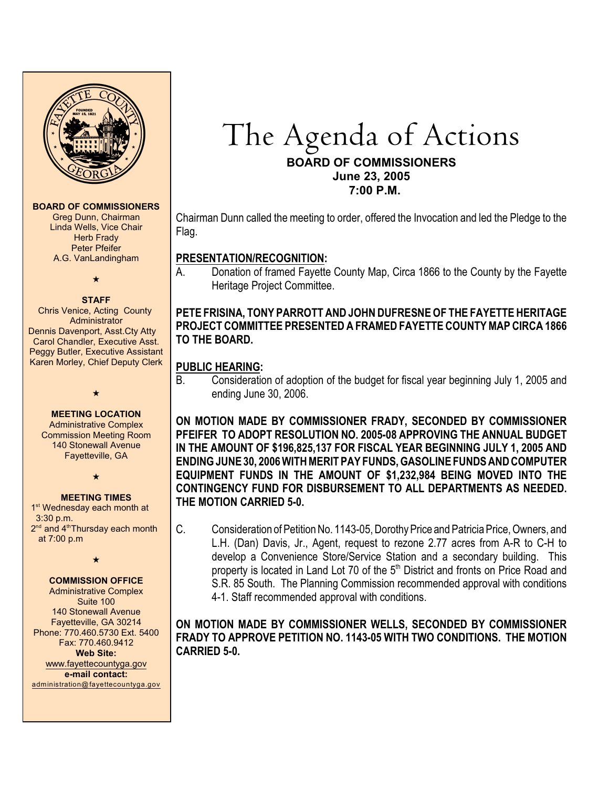

#### **BOARD OF COMMISSIONERS**

Greg Dunn, Chairman Linda Wells, Vice Chair Herb Frady Peter Pfeifer A.G. VanLandingham

 $\star$ 

#### **STAFF**

Chris Venice, Acting County Administrator Dennis Davenport, Asst.Cty Atty Carol Chandler, Executive Asst. Peggy Butler, Executive Assistant Karen Morley, Chief Deputy Clerk

**MEETING LOCATION**

 $\bigstar$ 

Administrative Complex Commission Meeting Room 140 Stonewall Avenue Fayetteville, GA

 $\star$ 

#### **MEETING TIMES**

1<sup>st</sup> Wednesday each month at 3:30 p.m.  $2<sup>nd</sup>$  and  $4<sup>th</sup>$ Thursday each month at 7:00 p.m

 $\star$ 

## **COMMISSION OFFICE**

Administrative Complex Suite 100 140 Stonewall Avenue Fayetteville, GA 30214 Phone: 770.460.5730 Ext. 5400 Fax: 770.460.9412 **Web Site:** [www.fayettecountyga.gov](http://www.admin.co.fayette.ga.us) **e-mail contact:** [administration@fayettecountyga.gov](mailto:administration@fayettecountyga.gov)

# The Agenda of Actions **BOARD OF COMMISSIONERS June 23, 2005**

 **7:00 P.M.**

Chairman Dunn called the meeting to order, offered the Invocation and led the Pledge to the Flag.

# **PRESENTATION/RECOGNITION:**

A. Donation of framed Fayette County Map, Circa 1866 to the County by the Fayette Heritage Project Committee.

# **PETE FRISINA, TONY PARROTT AND JOHN DUFRESNE OF THE FAYETTE HERITAGE PROJECT COMMITTEE PRESENTED A FRAMED FAYETTE COUNTY MAP CIRCA 1866 TO THE BOARD.**

# **PUBLIC HEARING:**

B. Consideration of adoption of the budget for fiscal year beginning July 1, 2005 and ending June 30, 2006.

**ON MOTION MADE BY COMMISSIONER FRADY, SECONDED BY COMMISSIONER PFEIFER TO ADOPT RESOLUTION NO. 2005-08 APPROVING THE ANNUAL BUDGET IN THE AMOUNT OF \$196,825,137 FOR FISCAL YEAR BEGINNING JULY 1, 2005 AND ENDING JUNE 30, 2006 WITH MERIT PAY FUNDS, GASOLINE FUNDS AND COMPUTER EQUIPMENT FUNDS IN THE AMOUNT OF \$1,232,984 BEING MOVED INTO THE CONTINGENCY FUND FOR DISBURSEMENT TO ALL DEPARTMENTS AS NEEDED. THE MOTION CARRIED 5-0.**

C. Consideration of Petition No. 1143-05, Dorothy Price and Patricia Price, Owners, and L.H. (Dan) Davis, Jr., Agent, request to rezone 2.77 acres from A-R to C-H to develop a Convenience Store/Service Station and a secondary building. This property is located in Land Lot 70 of the 5<sup>th</sup> District and fronts on Price Road and S.R. 85 South. The Planning Commission recommended approval with conditions 4-1. Staff recommended approval with conditions.

**ON MOTION MADE BY COMMISSIONER WELLS, SECONDED BY COMMISSIONER FRADY TO APPROVE PETITION NO. 1143-05 WITH TWO CONDITIONS. THE MOTION CARRIED 5-0.**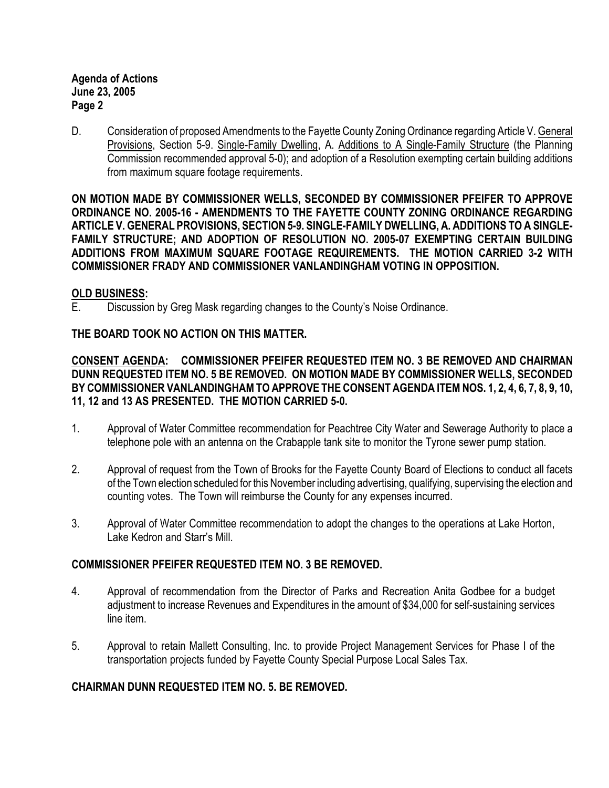D. Consideration of proposed Amendments to the Fayette County Zoning Ordinance regarding Article V. General Provisions, Section 5-9. Single-Family Dwelling, A. Additions to A Single-Family Structure (the Planning Commission recommended approval 5-0); and adoption of a Resolution exempting certain building additions from maximum square footage requirements.

**ON MOTION MADE BY COMMISSIONER WELLS, SECONDED BY COMMISSIONER PFEIFER TO APPROVE ORDINANCE NO. 2005-16 - AMENDMENTS TO THE FAYETTE COUNTY ZONING ORDINANCE REGARDING ARTICLE V. GENERAL PROVISIONS, SECTION 5-9. SINGLE-FAMILY DWELLING, A. ADDITIONS TO A SINGLE-FAMILY STRUCTURE; AND ADOPTION OF RESOLUTION NO. 2005-07 EXEMPTING CERTAIN BUILDING ADDITIONS FROM MAXIMUM SQUARE FOOTAGE REQUIREMENTS. THE MOTION CARRIED 3-2 WITH COMMISSIONER FRADY AND COMMISSIONER VANLANDINGHAM VOTING IN OPPOSITION.**

#### **OLD BUSINESS:**

E. Discussion by Greg Mask regarding changes to the County's Noise Ordinance.

# **THE BOARD TOOK NO ACTION ON THIS MATTER.**

**CONSENT AGENDA: COMMISSIONER PFEIFER REQUESTED ITEM NO. 3 BE REMOVED AND CHAIRMAN DUNN REQUESTED ITEM NO. 5 BE REMOVED. ON MOTION MADE BY COMMISSIONER WELLS, SECONDED BY COMMISSIONER VANLANDINGHAM TO APPROVE THE CONSENT AGENDA ITEM NOS. 1, 2, 4, 6, 7, 8, 9, 10, 11, 12 and 13 AS PRESENTED. THE MOTION CARRIED 5-0.**

- 1. Approval of Water Committee recommendation for Peachtree City Water and Sewerage Authority to place a telephone pole with an antenna on the Crabapple tank site to monitor the Tyrone sewer pump station.
- 2. Approval of request from the Town of Brooks for the Fayette County Board of Elections to conduct all facets of the Town election scheduled for this November including advertising, qualifying, supervising the election and counting votes. The Town will reimburse the County for any expenses incurred.
- 3. Approval of Water Committee recommendation to adopt the changes to the operations at Lake Horton, Lake Kedron and Starr's Mill.

#### **COMMISSIONER PFEIFER REQUESTED ITEM NO. 3 BE REMOVED.**

- 4. Approval of recommendation from the Director of Parks and Recreation Anita Godbee for a budget adjustment to increase Revenues and Expenditures in the amount of \$34,000 for self-sustaining services line item.
- 5. Approval to retain Mallett Consulting, Inc. to provide Project Management Services for Phase I of the transportation projects funded by Fayette County Special Purpose Local Sales Tax.

# **CHAIRMAN DUNN REQUESTED ITEM NO. 5. BE REMOVED.**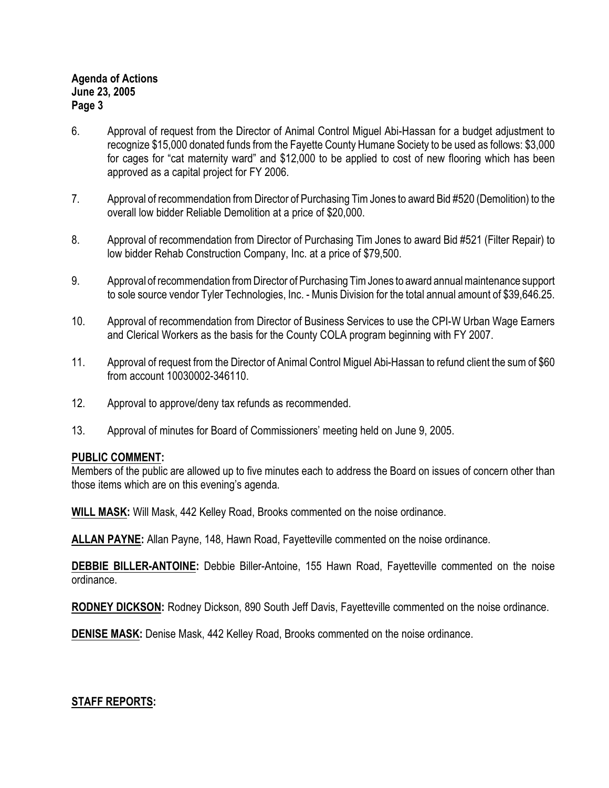- 6. Approval of request from the Director of Animal Control Miguel Abi-Hassan for a budget adjustment to recognize \$15,000 donated funds from the Fayette County Humane Society to be used as follows: \$3,000 for cages for "cat maternity ward" and \$12,000 to be applied to cost of new flooring which has been approved as a capital project for FY 2006.
- 7. Approval of recommendation from Director of Purchasing Tim Jones to award Bid #520 (Demolition) to the overall low bidder Reliable Demolition at a price of \$20,000.
- 8. Approval of recommendation from Director of Purchasing Tim Jones to award Bid #521 (Filter Repair) to low bidder Rehab Construction Company, Inc. at a price of \$79,500.
- 9. Approval of recommendation from Director of Purchasing Tim Jones to award annual maintenance support to sole source vendor Tyler Technologies, Inc. - Munis Division for the total annual amount of \$39,646.25.
- 10. Approval of recommendation from Director of Business Services to use the CPI-W Urban Wage Earners and Clerical Workers as the basis for the County COLA program beginning with FY 2007.
- 11. Approval of request from the Director of Animal Control Miguel Abi-Hassan to refund client the sum of \$60 from account 10030002-346110.
- 12. Approval to approve/deny tax refunds as recommended.
- 13. Approval of minutes for Board of Commissioners' meeting held on June 9, 2005.

# **PUBLIC COMMENT:**

Members of the public are allowed up to five minutes each to address the Board on issues of concern other than those items which are on this evening's agenda.

**WILL MASK:** Will Mask, 442 Kelley Road, Brooks commented on the noise ordinance.

**ALLAN PAYNE:** Allan Payne, 148, Hawn Road, Fayetteville commented on the noise ordinance.

**DEBBIE BILLER-ANTOINE:** Debbie Biller-Antoine, 155 Hawn Road, Fayetteville commented on the noise ordinance.

**RODNEY DICKSON:** Rodney Dickson, 890 South Jeff Davis, Fayetteville commented on the noise ordinance.

**DENISE MASK:** Denise Mask, 442 Kelley Road, Brooks commented on the noise ordinance.

# **STAFF REPORTS:**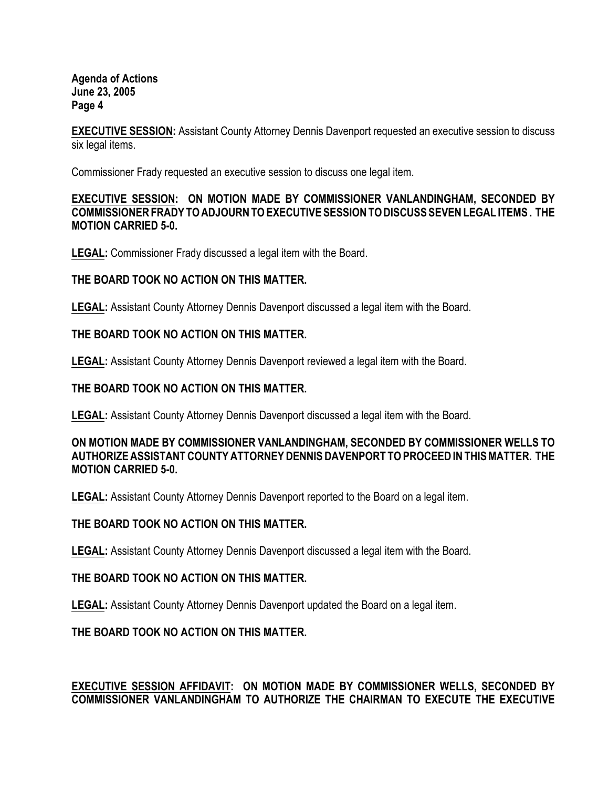**EXECUTIVE SESSION:** Assistant County Attorney Dennis Davenport requested an executive session to discuss six legal items.

Commissioner Frady requested an executive session to discuss one legal item.

#### **EXECUTIVE SESSION: ON MOTION MADE BY COMMISSIONER VANLANDINGHAM, SECONDED BY COMMISSIONER FRADY TO ADJOURN TO EXECUTIVE SESSION TO DISCUSS SEVEN LEGAL ITEMS . THE MOTION CARRIED 5-0.**

**LEGAL:** Commissioner Frady discussed a legal item with the Board.

## **THE BOARD TOOK NO ACTION ON THIS MATTER.**

**LEGAL:** Assistant County Attorney Dennis Davenport discussed a legal item with the Board.

## **THE BOARD TOOK NO ACTION ON THIS MATTER.**

**LEGAL:** Assistant County Attorney Dennis Davenport reviewed a legal item with the Board.

## **THE BOARD TOOK NO ACTION ON THIS MATTER.**

**LEGAL:** Assistant County Attorney Dennis Davenport discussed a legal item with the Board.

#### **ON MOTION MADE BY COMMISSIONER VANLANDINGHAM, SECONDED BY COMMISSIONER WELLS TO AUTHORIZE ASSISTANT COUNTY ATTORNEY DENNIS DAVENPORT TO PROCEED IN THIS MATTER. THE MOTION CARRIED 5-0.**

**LEGAL:** Assistant County Attorney Dennis Davenport reported to the Board on a legal item.

# **THE BOARD TOOK NO ACTION ON THIS MATTER.**

**LEGAL:** Assistant County Attorney Dennis Davenport discussed a legal item with the Board.

#### **THE BOARD TOOK NO ACTION ON THIS MATTER.**

**LEGAL:** Assistant County Attorney Dennis Davenport updated the Board on a legal item.

# **THE BOARD TOOK NO ACTION ON THIS MATTER.**

# **EXECUTIVE SESSION AFFIDAVIT: ON MOTION MADE BY COMMISSIONER WELLS, SECONDED BY COMMISSIONER VANLANDINGHAM TO AUTHORIZE THE CHAIRMAN TO EXECUTE THE EXECUTIVE**